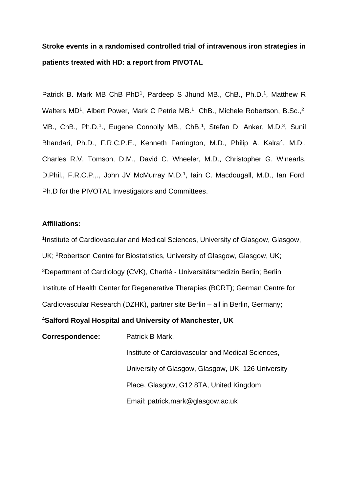# **Stroke events in a randomised controlled trial of intravenous iron strategies in patients treated with HD: a report from PIVOTAL**

Patrick B. Mark MB ChB PhD<sup>1</sup>, Pardeep S Jhund MB., ChB., Ph.D.<sup>1</sup>, Matthew R Walters MD<sup>1</sup>, Albert Power, Mark C Petrie MB.<sup>1</sup>, ChB., Michele Robertson, B.Sc.,<sup>2</sup>, MB., ChB., Ph.D.<sup>1</sup>., Eugene Connolly MB., ChB.<sup>1</sup>, Stefan D. Anker, M.D.<sup>3</sup>, Sunil Bhandari, Ph.D., F.R.C.P.E., Kenneth Farrington, M.D., Philip A. Kalra<sup>4</sup>, M.D., Charles R.V. Tomson, D.M., David C. Wheeler, M.D., Christopher G. Winearls, D.Phil., F.R.C.P.,., John JV McMurray M.D.<sup>1</sup>, Iain C. Macdougall, M.D., Ian Ford, Ph.D for the PIVOTAL Investigators and Committees.

## **Affiliations:**

<sup>1</sup>Institute of Cardiovascular and Medical Sciences, University of Glasgow, Glasgow, UK; <sup>2</sup>Robertson Centre for Biostatistics, University of Glasgow, Glasgow, UK; <sup>3</sup>Department of Cardiology (CVK), Charité - Universitätsmedizin Berlin; Berlin Institute of Health Center for Regenerative Therapies (BCRT); German Centre for Cardiovascular Research (DZHK), partner site Berlin – all in Berlin, Germany;

# **<sup>4</sup>Salford Royal Hospital and University of Manchester, UK**

**Correspondence:** Patrick B Mark,

Institute of Cardiovascular and Medical Sciences, University of Glasgow, Glasgow, UK, 126 University Place, Glasgow, G12 8TA, United Kingdom Email: patrick.mark@glasgow.ac.uk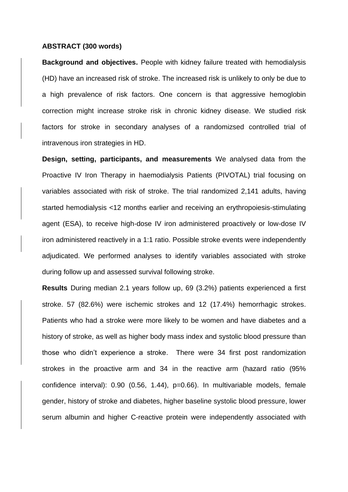#### **ABSTRACT (300 words)**

**Background and objectives.** People with kidney failure treated with hemodialysis (HD) have an increased risk of stroke. The increased risk is unlikely to only be due to a high prevalence of risk factors. One concern is that aggressive hemoglobin correction might increase stroke risk in chronic kidney disease. We studied risk factors for stroke in secondary analyses of a randomizsed controlled trial of intravenous iron strategies in HD.

**Design, setting, participants, and measurements** We analysed data from the Proactive IV Iron Therapy in haemodialysis Patients (PIVOTAL) trial focusing on variables associated with risk of stroke. The trial randomized 2,141 adults, having started hemodialysis <12 months earlier and receiving an erythropoiesis-stimulating agent (ESA), to receive high-dose IV iron administered proactively or low-dose IV iron administered reactively in a 1:1 ratio. Possible stroke events were independently adjudicated. We performed analyses to identify variables associated with stroke during follow up and assessed survival following stroke.

**Results** During median 2.1 years follow up, 69 (3.2%) patients experienced a first stroke. 57 (82.6%) were ischemic strokes and 12 (17.4%) hemorrhagic strokes. Patients who had a stroke were more likely to be women and have diabetes and a history of stroke, as well as higher body mass index and systolic blood pressure than those who didn't experience a stroke. There were 34 first post randomization strokes in the proactive arm and 34 in the reactive arm (hazard ratio (95% confidence interval): 0.90 (0.56, 1.44), p=0.66). In multivariable models, female gender, history of stroke and diabetes, higher baseline systolic blood pressure, lower serum albumin and higher C-reactive protein were independently associated with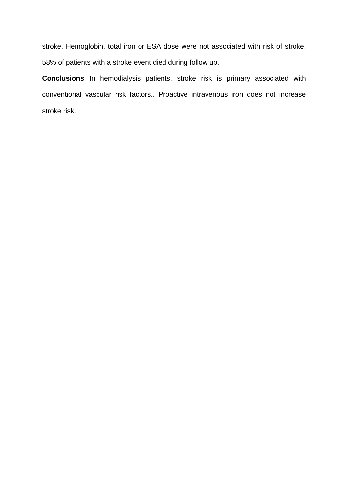stroke. Hemoglobin, total iron or ESA dose were not associated with risk of stroke. 58% of patients with a stroke event died during follow up.

**Conclusions** In hemodialysis patients, stroke risk is primary associated with conventional vascular risk factors.. Proactive intravenous iron does not increase stroke risk.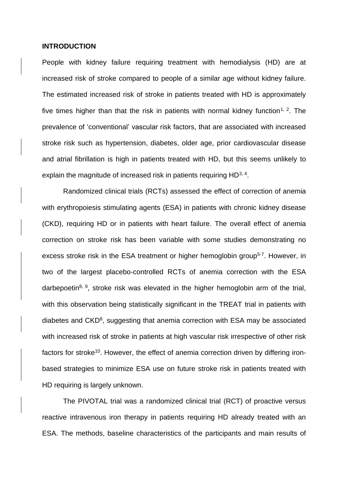#### **INTRODUCTION**

People with kidney failure requiring treatment with hemodialysis (HD) are at increased risk of stroke compared to people of a similar age without kidney failure. The estimated increased risk of stroke in patients treated with HD is approximately five times higher than that the risk in patients with normal kidney function<sup>1, 2</sup>. The prevalence of 'conventional' vascular risk factors, that are associated with increased stroke risk such as hypertension, diabetes, older age, prior cardiovascular disease and atrial fibrillation is high in patients treated with HD, but this seems unlikely to explain the magnitude of increased risk in patients requiring HD<sup>3, 4</sup>.

Randomized clinical trials (RCTs) assessed the effect of correction of anemia with erythropoiesis stimulating agents (ESA) in patients with chronic kidney disease (CKD), requiring HD or in patients with heart failure. The overall effect of anemia correction on stroke risk has been variable with some studies demonstrating no excess stroke risk in the ESA treatment or higher hemoglobin group<sup>5-7</sup>. However, in two of the largest placebo-controlled RCTs of anemia correction with the ESA darbepoetin<sup>8, 9</sup>, stroke risk was elevated in the higher hemoglobin arm of the trial, with this observation being statistically significant in the TREAT trial in patients with diabetes and  $CKD<sup>8</sup>$ , suggesting that anemia correction with ESA may be associated with increased risk of stroke in patients at high vascular risk irrespective of other risk factors for stroke<sup>10</sup>. However, the effect of anemia correction driven by differing ironbased strategies to minimize ESA use on future stroke risk in patients treated with HD requiring is largely unknown.

The PIVOTAL trial was a randomized clinical trial (RCT) of proactive versus reactive intravenous iron therapy in patients requiring HD already treated with an ESA. The methods, baseline characteristics of the participants and main results of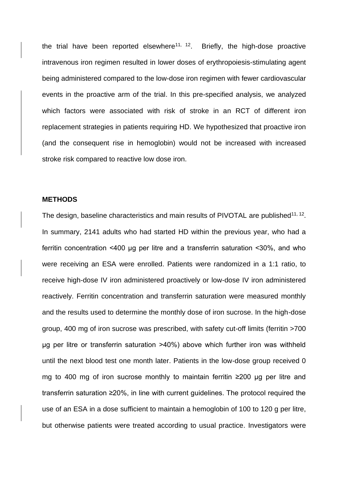the trial have been reported elsewhere<sup>11, 12</sup>. Briefly, the high-dose proactive intravenous iron regimen resulted in lower doses of erythropoiesis-stimulating agent being administered compared to the low-dose iron regimen with fewer cardiovascular events in the proactive arm of the trial. In this pre-specified analysis, we analyzed which factors were associated with risk of stroke in an RCT of different iron replacement strategies in patients requiring HD. We hypothesized that proactive iron (and the consequent rise in hemoglobin) would not be increased with increased stroke risk compared to reactive low dose iron.

## **METHODS**

The design, baseline characteristics and main results of PIVOTAL are published $^{11, 12}$ . In summary, 2141 adults who had started HD within the previous year, who had a ferritin concentration <400 μg per litre and a transferrin saturation <30%, and who were receiving an ESA were enrolled. Patients were randomized in a 1:1 ratio, to receive high-dose IV iron administered proactively or low-dose IV iron administered reactively. Ferritin concentration and transferrin saturation were measured monthly and the results used to determine the monthly dose of iron sucrose. In the high-dose group, 400 mg of iron sucrose was prescribed, with safety cut-off limits (ferritin >700 μg per litre or transferrin saturation >40%) above which further iron was withheld until the next blood test one month later. Patients in the low-dose group received 0 mg to 400 mg of iron sucrose monthly to maintain ferritin ≥200 μg per litre and transferrin saturation ≥20%, in line with current guidelines. The protocol required the use of an ESA in a dose sufficient to maintain a hemoglobin of 100 to 120 g per litre, but otherwise patients were treated according to usual practice. Investigators were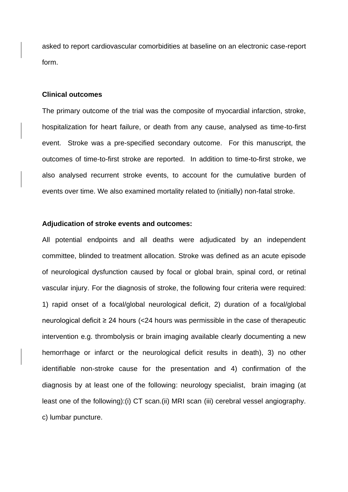asked to report cardiovascular comorbidities at baseline on an electronic case-report form.

## **Clinical outcomes**

The primary outcome of the trial was the composite of myocardial infarction, stroke, hospitalization for heart failure, or death from any cause, analysed as time-to-first event. Stroke was a pre-specified secondary outcome. For this manuscript, the outcomes of time-to-first stroke are reported. In addition to time-to-first stroke, we also analysed recurrent stroke events, to account for the cumulative burden of events over time. We also examined mortality related to (initially) non-fatal stroke.

## **Adjudication of stroke events and outcomes:**

All potential endpoints and all deaths were adjudicated by an independent committee, blinded to treatment allocation. Stroke was defined as an acute episode of neurological dysfunction caused by focal or global brain, spinal cord, or retinal vascular injury. For the diagnosis of stroke, the following four criteria were required: 1) rapid onset of a focal/global neurological deficit, 2) duration of a focal/global neurological deficit ≥ 24 hours (<24 hours was permissible in the case of therapeutic intervention e.g. thrombolysis or brain imaging available clearly documenting a new hemorrhage or infarct or the neurological deficit results in death), 3) no other identifiable non-stroke cause for the presentation and 4) confirmation of the diagnosis by at least one of the following: neurology specialist, brain imaging (at least one of the following):(i) CT scan.(ii) MRI scan (iii) cerebral vessel angiography. c) lumbar puncture.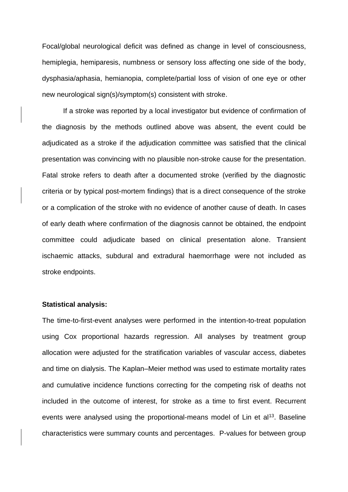Focal/global neurological deficit was defined as change in level of consciousness, hemiplegia, hemiparesis, numbness or sensory loss affecting one side of the body, dysphasia/aphasia, hemianopia, complete/partial loss of vision of one eye or other new neurological sign(s)/symptom(s) consistent with stroke.

If a stroke was reported by a local investigator but evidence of confirmation of the diagnosis by the methods outlined above was absent, the event could be adjudicated as a stroke if the adjudication committee was satisfied that the clinical presentation was convincing with no plausible non-stroke cause for the presentation. Fatal stroke refers to death after a documented stroke (verified by the diagnostic criteria or by typical post-mortem findings) that is a direct consequence of the stroke or a complication of the stroke with no evidence of another cause of death. In cases of early death where confirmation of the diagnosis cannot be obtained, the endpoint committee could adjudicate based on clinical presentation alone. Transient ischaemic attacks, subdural and extradural haemorrhage were not included as stroke endpoints.

#### **Statistical analysis:**

The time-to-first-event analyses were performed in the intention-to-treat population using Cox proportional hazards regression. All analyses by treatment group allocation were adjusted for the stratification variables of vascular access, diabetes and time on dialysis. The Kaplan–Meier method was used to estimate mortality rates and cumulative incidence functions correcting for the competing risk of deaths not included in the outcome of interest, for stroke as a time to first event. Recurrent events were analysed using the proportional-means model of Lin et  $a^{13}$ . Baseline characteristics were summary counts and percentages. P-values for between group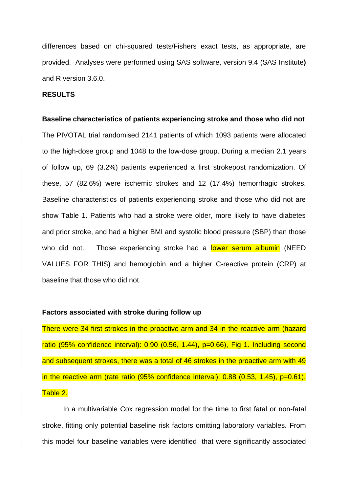differences based on chi-squared tests/Fishers exact tests, as appropriate, are provided. Analyses were performed using SAS software, version 9.4 (SAS Institute**)**  and R version 3.6.0.

# **RESULTS**

# **Baseline characteristics of patients experiencing stroke and those who did not**

The PIVOTAL trial randomised 2141 patients of which 1093 patients were allocated to the high-dose group and 1048 to the low-dose group. During a median 2.1 years of follow up, 69 (3.2%) patients experienced a first strokepost randomization. Of these, 57 (82.6%) were ischemic strokes and 12 (17.4%) hemorrhagic strokes. Baseline characteristics of patients experiencing stroke and those who did not are show Table 1. Patients who had a stroke were older, more likely to have diabetes and prior stroke, and had a higher BMI and systolic blood pressure (SBP) than those who did not. Those experiencing stroke had a lower serum albumin (NEED VALUES FOR THIS) and hemoglobin and a higher C-reactive protein (CRP) at baseline that those who did not.

## **Factors associated with stroke during follow up**

There were 34 first strokes in the proactive arm and 34 in the reactive arm (hazard ratio (95% confidence interval): 0.90 (0.56, 1.44), p=0.66), Fig 1. Including second and subsequent strokes, there was a total of 46 strokes in the proactive arm with 49 in the reactive arm (rate ratio (95% confidence interval):  $0.88$  (0.53, 1.45),  $p=0.61$ ), Table 2.

In a multivariable Cox regression model for the time to first fatal or non-fatal stroke, fitting only potential baseline risk factors omitting laboratory variables. From this model four baseline variables were identified that were significantly associated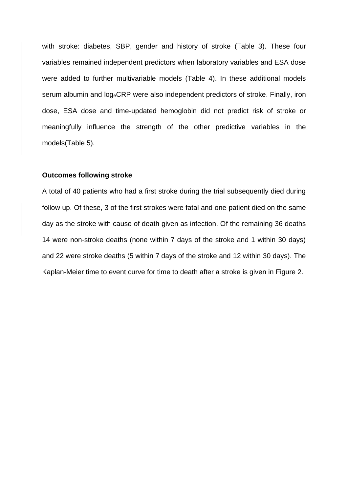with stroke: diabetes, SBP, gender and history of stroke (Table 3). These four variables remained independent predictors when laboratory variables and ESA dose were added to further multivariable models (Table 4). In these additional models serum albumin and logeCRP were also independent predictors of stroke. Finally, iron dose, ESA dose and time-updated hemoglobin did not predict risk of stroke or meaningfully influence the strength of the other predictive variables in the models(Table 5).

# **Outcomes following stroke**

A total of 40 patients who had a first stroke during the trial subsequently died during follow up. Of these, 3 of the first strokes were fatal and one patient died on the same day as the stroke with cause of death given as infection. Of the remaining 36 deaths 14 were non-stroke deaths (none within 7 days of the stroke and 1 within 30 days) and 22 were stroke deaths (5 within 7 days of the stroke and 12 within 30 days). The Kaplan-Meier time to event curve for time to death after a stroke is given in Figure 2.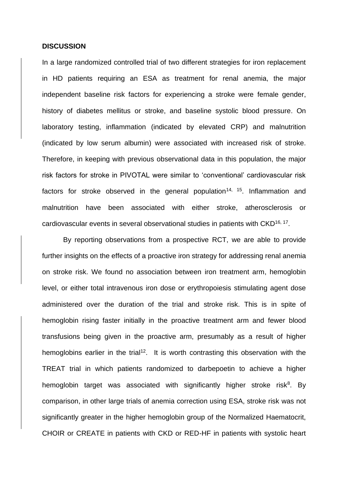#### **DISCUSSION**

In a large randomized controlled trial of two different strategies for iron replacement in HD patients requiring an ESA as treatment for renal anemia, the major independent baseline risk factors for experiencing a stroke were female gender, history of diabetes mellitus or stroke, and baseline systolic blood pressure. On laboratory testing, inflammation (indicated by elevated CRP) and malnutrition (indicated by low serum albumin) were associated with increased risk of stroke. Therefore, in keeping with previous observational data in this population, the major risk factors for stroke in PIVOTAL were similar to 'conventional' cardiovascular risk factors for stroke observed in the general population<sup>14, 15</sup>. Inflammation and malnutrition have been associated with either stroke, atherosclerosis or cardiovascular events in several observational studies in patients with CKD<sup>16, 17</sup>.

By reporting observations from a prospective RCT, we are able to provide further insights on the effects of a proactive iron strategy for addressing renal anemia on stroke risk. We found no association between iron treatment arm, hemoglobin level, or either total intravenous iron dose or erythropoiesis stimulating agent dose administered over the duration of the trial and stroke risk. This is in spite of hemoglobin rising faster initially in the proactive treatment arm and fewer blood transfusions being given in the proactive arm, presumably as a result of higher hemoglobins earlier in the trial<sup>12</sup>. It is worth contrasting this observation with the TREAT trial in which patients randomized to darbepoetin to achieve a higher hemoglobin target was associated with significantly higher stroke risk<sup>8</sup>. By comparison, in other large trials of anemia correction using ESA, stroke risk was not significantly greater in the higher hemoglobin group of the Normalized Haematocrit, CHOIR or CREATE in patients with CKD or RED-HF in patients with systolic heart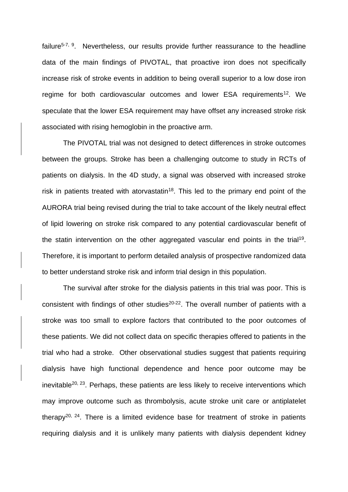failure<sup>5-7, 9</sup>. Nevertheless, our results provide further reassurance to the headline data of the main findings of PIVOTAL, that proactive iron does not specifically increase risk of stroke events in addition to being overall superior to a low dose iron regime for both cardiovascular outcomes and lower ESA requirements<sup>12</sup>. We speculate that the lower ESA requirement may have offset any increased stroke risk associated with rising hemoglobin in the proactive arm.

The PIVOTAL trial was not designed to detect differences in stroke outcomes between the groups. Stroke has been a challenging outcome to study in RCTs of patients on dialysis. In the 4D study, a signal was observed with increased stroke risk in patients treated with atorvastatin<sup>18</sup>. This led to the primary end point of the AURORA trial being revised during the trial to take account of the likely neutral effect of lipid lowering on stroke risk compared to any potential cardiovascular benefit of the statin intervention on the other aggregated vascular end points in the trial<sup>19</sup>. Therefore, it is important to perform detailed analysis of prospective randomized data to better understand stroke risk and inform trial design in this population.

The survival after stroke for the dialysis patients in this trial was poor. This is consistent with findings of other studies<sup>20-22</sup>. The overall number of patients with a stroke was too small to explore factors that contributed to the poor outcomes of these patients. We did not collect data on specific therapies offered to patients in the trial who had a stroke. Other observational studies suggest that patients requiring dialysis have high functional dependence and hence poor outcome may be inevitable<sup>20, 23</sup>. Perhaps, these patients are less likely to receive interventions which may improve outcome such as thrombolysis, acute stroke unit care or antiplatelet therapy<sup>20, 24</sup>. There is a limited evidence base for treatment of stroke in patients requiring dialysis and it is unlikely many patients with dialysis dependent kidney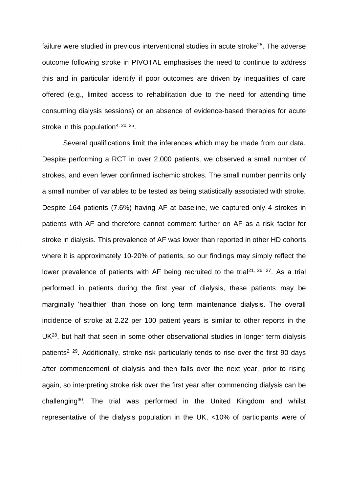failure were studied in previous interventional studies in acute stroke<sup>25</sup>. The adverse outcome following stroke in PIVOTAL emphasises the need to continue to address this and in particular identify if poor outcomes are driven by inequalities of care offered (e.g., limited access to rehabilitation due to the need for attending time consuming dialysis sessions) or an absence of evidence-based therapies for acute stroke in this population<sup>4, 20, 25</sup>.

Several qualifications limit the inferences which may be made from our data. Despite performing a RCT in over 2,000 patients, we observed a small number of strokes, and even fewer confirmed ischemic strokes. The small number permits only a small number of variables to be tested as being statistically associated with stroke. Despite 164 patients (7.6%) having AF at baseline, we captured only 4 strokes in patients with AF and therefore cannot comment further on AF as a risk factor for stroke in dialysis. This prevalence of AF was lower than reported in other HD cohorts where it is approximately 10-20% of patients, so our findings may simply reflect the lower prevalence of patients with AF being recruited to the trial<sup>21, 26, 27</sup>. As a trial performed in patients during the first year of dialysis, these patients may be marginally 'healthier' than those on long term maintenance dialysis. The overall incidence of stroke at 2.22 per 100 patient years is similar to other reports in the UK<sup>28</sup>, but half that seen in some other observational studies in longer term dialysis patients<sup>2, 29</sup>. Additionally, stroke risk particularly tends to rise over the first 90 days after commencement of dialysis and then falls over the next year, prior to rising again, so interpreting stroke risk over the first year after commencing dialysis can be challenging<sup>30</sup>. The trial was performed in the United Kingdom and whilst representative of the dialysis population in the UK, <10% of participants were of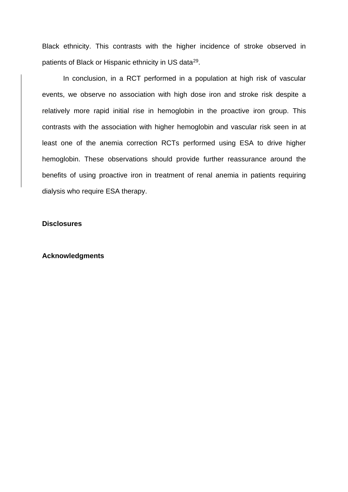Black ethnicity. This contrasts with the higher incidence of stroke observed in patients of Black or Hispanic ethnicity in US data<sup>29</sup>.

In conclusion, in a RCT performed in a population at high risk of vascular events, we observe no association with high dose iron and stroke risk despite a relatively more rapid initial rise in hemoglobin in the proactive iron group. This contrasts with the association with higher hemoglobin and vascular risk seen in at least one of the anemia correction RCTs performed using ESA to drive higher hemoglobin. These observations should provide further reassurance around the benefits of using proactive iron in treatment of renal anemia in patients requiring dialysis who require ESA therapy.

## **Disclosures**

### **Acknowledgments**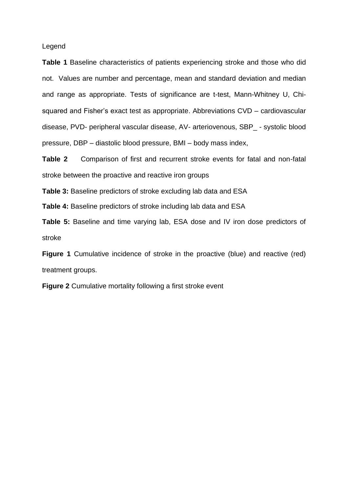Legend

**Table 1** Baseline characteristics of patients experiencing stroke and those who did not. Values are number and percentage, mean and standard deviation and median and range as appropriate. Tests of significance are t-test, Mann-Whitney U, Chisquared and Fisher's exact test as appropriate. Abbreviations CVD – cardiovascular disease, PVD- peripheral vascular disease, AV- arteriovenous, SBP\_ - systolic blood pressure, DBP – diastolic blood pressure, BMI – body mass index,

**Table 2** Comparison of first and recurrent stroke events for fatal and non-fatal stroke between the proactive and reactive iron groups

**Table 3:** Baseline predictors of stroke excluding lab data and ESA

**Table 4:** Baseline predictors of stroke including lab data and ESA

**Table 5:** Baseline and time varying lab, ESA dose and IV iron dose predictors of stroke

**Figure 1** Cumulative incidence of stroke in the proactive (blue) and reactive (red) treatment groups.

**Figure 2** Cumulative mortality following a first stroke event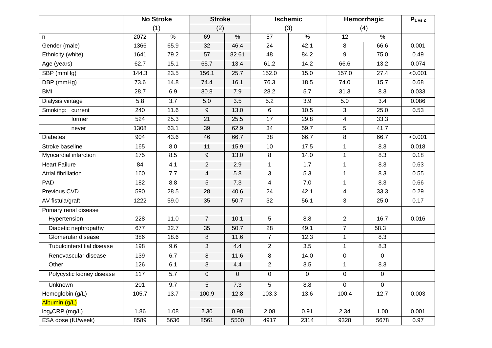|                             | <b>No Stroke</b> |               | <b>Stroke</b>    |             | <b>Ischemic</b> |      | Hemorrhagic             |             | $P1$ vs 2 |
|-----------------------------|------------------|---------------|------------------|-------------|-----------------|------|-------------------------|-------------|-----------|
|                             | (1)              |               | (2)              |             | (3)             |      | (4)                     |             |           |
| n.                          | 2072             | $\frac{9}{6}$ | 69               | $\%$        | 57              | $\%$ | 12                      | $\%$        |           |
| Gender (male)               | 1366             | 65.9          | 32               | 46.4        | 24              | 42.1 | 8                       | 66.6        | 0.001     |
| Ethnicity (white)           | 1641             | 79.2          | 57               | 82.61       | 48              | 84.2 | 9                       | 75.0        | 0.49      |
| Age (years)                 | 62.7             | 15.1          | 65.7             | 13.4        | 61.2            | 14.2 | 66.6                    | 13.2        | 0.074     |
| SBP (mmHg)                  | 144.3            | 23.5          | 156.1            | 25.7        | 152.0           | 15.0 | 157.0                   | 27.4        | < 0.001   |
| DBP (mmHg)                  | 73.6             | 14.8          | 74.4             | 16.1        | 76.3            | 18.5 | 74.0                    | 15.7        | 0.68      |
| <b>BMI</b>                  | 28.7             | 6.9           | 30.8             | 7.9         | 28.2            | 5.7  | 31.3                    | 8.3         | 0.033     |
| Dialysis vintage            | 5.8              | 3.7           | 5.0              | 3.5         | 5.2             | 3.9  | 5.0                     | 3.4         | 0.086     |
| Smoking: current            | 240              | 11.6          | 9                | 13.0        | 6               | 10.5 | 3                       | 25.0        | 0.53      |
| former                      | 524              | 25.3          | 21               | 25.5        | 17              | 29.8 | 4                       | 33.3        |           |
| never                       | 1308             | 63.1          | 39               | 62.9        | $\overline{34}$ | 59.7 | 5                       | 41.7        |           |
| <b>Diabetes</b>             | 904              | 43.6          | 46               | 66.7        | 38              | 66.7 | 8                       | 66.7        | < 0.001   |
| Stroke baseline             | 165              | 8.0           | 11               | 15.9        | 10              | 17.5 | $\mathbf{1}$            | 8.3         | 0.018     |
| Myocardial infarction       | 175              | 8.5           | $\boldsymbol{9}$ | 13.0        | 8               | 14.0 | $\mathbf{1}$            | 8.3         | 0.18      |
| <b>Heart Failure</b>        | 84               | 4.1           | $\overline{2}$   | 2.9         | $\mathbf{1}$    | 1.7  | $\mathbf{1}$            | 8.3         | 0.63      |
| Atrial fibrillation         | 160              | 7.7           | 4                | 5.8         | 3               | 5.3  | $\mathbf{1}$            | 8.3         | 0.55      |
| PAD                         | 182              | 8.8           | 5                | 7.3         | $\overline{4}$  | 7.0  | $\mathbf{1}$            | 8.3         | 0.66      |
| Previous CVD                | 590              | 28.5          | 28               | 40.6        | 24              | 42.1 | $\overline{\mathbf{4}}$ | 33.3        | 0.29      |
| AV fistula/graft            | 1222             | 59.0          | 35               | 50.7        | 32              | 56.1 | $\overline{3}$          | 25.0        | 0.17      |
| Primary renal disease       |                  |               |                  |             |                 |      |                         |             |           |
| Hypertension                | 228              | $11.0$        | $\overline{7}$   | 10.1        | 5               | 8.8  | 2                       | 16.7        | 0.016     |
| Diabetic nephropathy        | 677              | 32.7          | 35               | 50.7        | 28              | 49.1 | $\overline{7}$          | 58.3        |           |
| Glomerular disease          | 386              | 18.6          | 8                | 11.6        | $\overline{7}$  | 12.3 | $\mathbf{1}$            | 8.3         |           |
| Tubulointerstitial disease  | 198              | 9.6           | 3                | 4.4         | $\overline{2}$  | 3.5  | $\mathbf{1}$            | 8.3         |           |
| Renovascular disease        | 139              | 6.7           | 8                | 11.6        | 8               | 14.0 | $\mathsf{O}\xspace$     | $\mathbf 0$ |           |
| Other                       | 126              | 6.1           | 3                | 4.4         | $\overline{2}$  | 3.5  | $\mathbf{1}$            | 8.3         |           |
| Polycystic kidney disease   | 117              | 5.7           | 0                | $\mathbf 0$ | $\pmb{0}$       | 0    | 0                       | $\mathbf 0$ |           |
| Unknown                     | 201              | 9.7           | $5\overline{)}$  | 7.3         | $5\phantom{.0}$ | 8.8  | $\mathbf 0$             | $\mathbf 0$ |           |
| Hemoglobin (g/L)            | 105.7            | 13.7          | 100.9            | 12.8        | 103.3           | 13.6 | 100.4                   | 12.7        | 0.003     |
| Albumin (g/L)               |                  |               |                  |             |                 |      |                         |             |           |
| log <sub>e</sub> CRP (mg/L) | 1.86             | 1.08          | 2.30             | 0.98        | 2.08            | 0.91 | 2.34                    | 1.00        | 0.001     |
| ESA dose (IU/week)          | 8589             | 5636          | 8561             | 5500        | 4917            | 2314 | 9328                    | 5678        | 0.97      |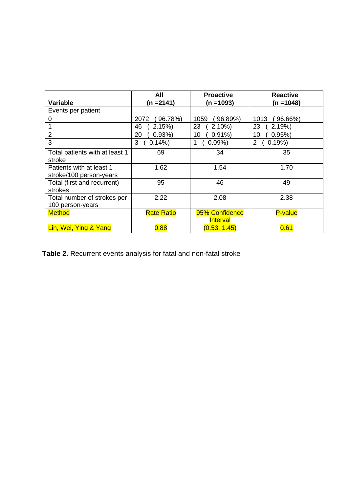|                                | All               | <b>Proactive</b> | <b>Reactive</b> |
|--------------------------------|-------------------|------------------|-----------------|
| Variable                       | (n =2141)         | (n =1093)        | (n =1048)       |
| Events per patient             |                   |                  |                 |
| 0                              | 2072<br>96.78%)   | 1059<br>96.89%)  | 1013<br>96.66%) |
|                                | 46<br>2.15%       | 23<br>$2.10\%$   | 23<br>2.19%     |
| $\overline{2}$                 | 20<br>0.93%       | 10<br>$0.91\%$   | 10<br>0.95%     |
| 3                              | 0.14%<br>3        | 0.09%<br>1       | 0.19%<br>2      |
| Total patients with at least 1 | 69                | 34               | 35              |
| stroke                         |                   |                  |                 |
| Patients with at least 1       | 1.62              | 1.54             | 1.70            |
| stroke/100 person-years        |                   |                  |                 |
| Total (first and recurrent)    | 95                | 46               | 49              |
| strokes                        |                   |                  |                 |
| Total number of strokes per    | 2.22              | 2.08             | 2.38            |
| 100 person-years               |                   |                  |                 |
| <b>Method</b>                  | <b>Rate Ratio</b> | 95% Confidence   | <b>P-value</b>  |
|                                |                   | <b>Interval</b>  |                 |
| Lin, Wei, Ying & Yang          | 0.88              | (0.53, 1.45)     | 0.61            |

**Table 2.** Recurrent events analysis for fatal and non-fatal stroke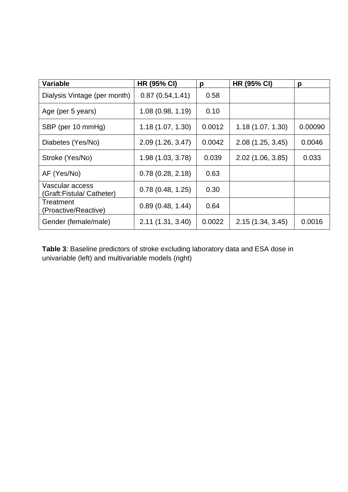| <b>Variable</b>                             | <b>HR (95% CI)</b> | р      | <b>HR (95% CI)</b> | р       |
|---------------------------------------------|--------------------|--------|--------------------|---------|
| Dialysis Vintage (per month)                | 0.87(0.54, 1.41)   | 0.58   |                    |         |
| Age (per 5 years)                           | 1.08(0.98, 1.19)   | 0.10   |                    |         |
| SBP (per 10 mmHg)                           | 1.18(1.07, 1.30)   | 0.0012 | 1.18(1.07, 1.30)   | 0.00090 |
| Diabetes (Yes/No)                           | 2.09(1.26, 3.47)   | 0.0042 | 2.08(1.25, 3.45)   | 0.0046  |
| Stroke (Yes/No)                             | 1.98(1.03, 3.78)   | 0.039  | 2.02(1.06, 3.85)   | 0.033   |
| AF (Yes/No)                                 | 0.78(0.28, 2.18)   | 0.63   |                    |         |
| Vascular access<br>(Graft:Fistula/Catheter) | 0.78(0.48, 1.25)   | 0.30   |                    |         |
| Treatment<br>(Proactive/Reactive)           | 0.89(0.48, 1.44)   | 0.64   |                    |         |
| Gender (female/male)                        | 2.11(1.31, 3.40)   | 0.0022 | 2.15(1.34, 3.45)   | 0.0016  |

**Table 3**: Baseline predictors of stroke excluding laboratory data and ESA dose in univariable (left) and multivariable models (right)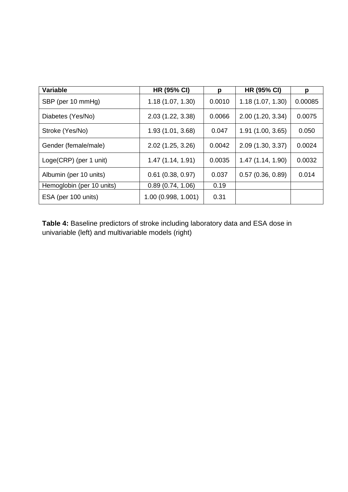| <b>Variable</b>           | <b>HR (95% CI)</b>  | p      | <b>HR (95% CI)</b> | р       |
|---------------------------|---------------------|--------|--------------------|---------|
| SBP (per 10 mmHg)         | 1.18(1.07, 1.30)    | 0.0010 | 1.18(1.07, 1.30)   | 0.00085 |
| Diabetes (Yes/No)         | 2.03 (1.22, 3.38)   | 0.0066 | 2.00(1.20, 3.34)   | 0.0075  |
| Stroke (Yes/No)           | 1.93(1.01, 3.68)    | 0.047  | 1.91(1.00, 3.65)   | 0.050   |
| Gender (female/male)      | 2.02 (1.25, 3.26)   | 0.0042 | 2.09(1.30, 3.37)   | 0.0024  |
| Loge(CRP) (per 1 unit)    | 1.47(1.14, 1.91)    | 0.0035 | 1.47(1.14, 1.90)   | 0.0032  |
| Albumin (per 10 units)    | $0.61$ (0.38, 0.97) | 0.037  | 0.57(0.36, 0.89)   | 0.014   |
| Hemoglobin (per 10 units) | 0.89(0.74, 1.06)    | 0.19   |                    |         |
| ESA (per 100 units)       | 1.00(0.998, 1.001)  | 0.31   |                    |         |

**Table 4:** Baseline predictors of stroke including laboratory data and ESA dose in univariable (left) and multivariable models (right)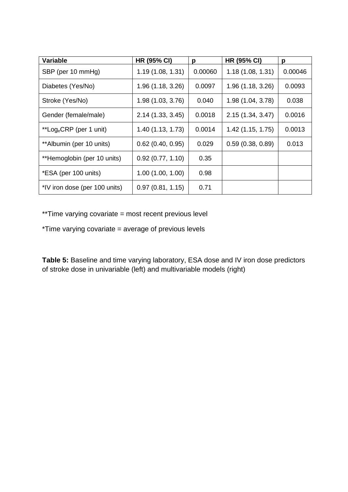| <b>Variable</b>                     | <b>HR (95% CI)</b>  | р       | <b>HR (95% CI)</b> | р       |
|-------------------------------------|---------------------|---------|--------------------|---------|
| SBP (per 10 mmHg)                   | 1.19(1.08, 1.31)    | 0.00060 | 1.18(1.08, 1.31)   | 0.00046 |
| Diabetes (Yes/No)                   | 1.96(1.18, 3.26)    | 0.0097  | 1.96(1.18, 3.26)   | 0.0093  |
| Stroke (Yes/No)                     | 1.98(1.03, 3.76)    | 0.040   | 1.98(1.04, 3.78)   | 0.038   |
| Gender (female/male)                | 2.14 (1.33, 3.45)   | 0.0018  | 2.15(1.34, 3.47)   | 0.0016  |
| **Log <sub>e</sub> CRP (per 1 unit) | 1.40(1.13, 1.73)    | 0.0014  | 1.42(1.15, 1.75)   | 0.0013  |
| **Albumin (per 10 units)            | $0.62$ (0.40, 0.95) | 0.029   | 0.59(0.38, 0.89)   | 0.013   |
| **Hemoglobin (per 10 units)         | 0.92(0.77, 1.10)    | 0.35    |                    |         |
| *ESA (per 100 units)                | 1.00(1.00, 1.00)    | 0.98    |                    |         |
| *IV iron dose (per 100 units)       | 0.97(0.81, 1.15)    | 0.71    |                    |         |

\*\*Time varying covariate = most recent previous level

\*Time varying covariate = average of previous levels

**Table 5:** Baseline and time varying laboratory, ESA dose and IV iron dose predictors of stroke dose in univariable (left) and multivariable models (right)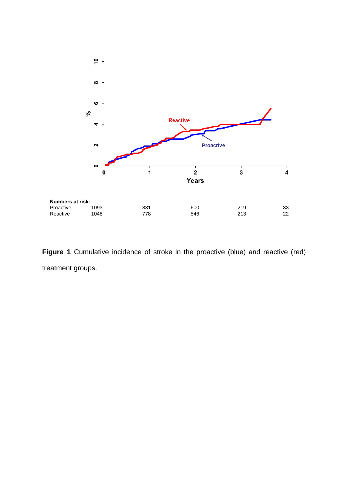

**Figure 1** Cumulative incidence of stroke in the proactive (blue) and reactive (red) treatment groups.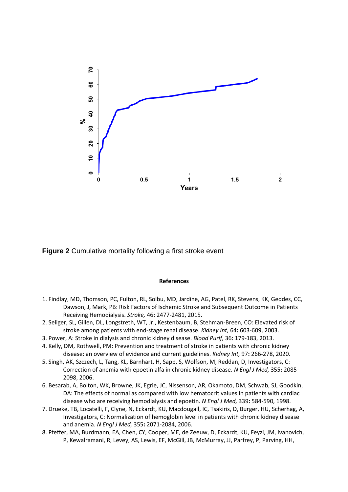

**Figure 2** Cumulative mortality following a first stroke event

#### **References**

- 1. Findlay, MD, Thomson, PC, Fulton, RL, Solbu, MD, Jardine, AG, Patel, RK, Stevens, KK, Geddes, CC, Dawson, J, Mark, PB: Risk Factors of Ischemic Stroke and Subsequent Outcome in Patients Receiving Hemodialysis. *Stroke,* 46**:** 2477-2481, 2015.
- 2. Seliger, SL, Gillen, DL, Longstreth, WT, Jr., Kestenbaum, B, Stehman-Breen, CO: Elevated risk of stroke among patients with end-stage renal disease. *Kidney Int,* 64**:** 603-609, 2003.
- 3. Power, A: Stroke in dialysis and chronic kidney disease. *Blood Purif,* 36**:** 179-183, 2013.
- 4. Kelly, DM, Rothwell, PM: Prevention and treatment of stroke in patients with chronic kidney disease: an overview of evidence and current guidelines. *Kidney Int,* 97**:** 266-278, 2020.
- 5. Singh, AK, Szczech, L, Tang, KL, Barnhart, H, Sapp, S, Wolfson, M, Reddan, D, Investigators, C: Correction of anemia with epoetin alfa in chronic kidney disease. *N Engl J Med,* 355**:** 2085- 2098, 2006.
- 6. Besarab, A, Bolton, WK, Browne, JK, Egrie, JC, Nissenson, AR, Okamoto, DM, Schwab, SJ, Goodkin, DA: The effects of normal as compared with low hematocrit values in patients with cardiac disease who are receiving hemodialysis and epoetin. *N Engl J Med,* 339**:** 584-590, 1998.
- 7. Drueke, TB, Locatelli, F, Clyne, N, Eckardt, KU, Macdougall, IC, Tsakiris, D, Burger, HU, Scherhag, A, Investigators, C: Normalization of hemoglobin level in patients with chronic kidney disease and anemia. *N Engl J Med,* 355**:** 2071-2084, 2006.
- 8. Pfeffer, MA, Burdmann, EA, Chen, CY, Cooper, ME, de Zeeuw, D, Eckardt, KU, Feyzi, JM, Ivanovich, P, Kewalramani, R, Levey, AS, Lewis, EF, McGill, JB, McMurray, JJ, Parfrey, P, Parving, HH,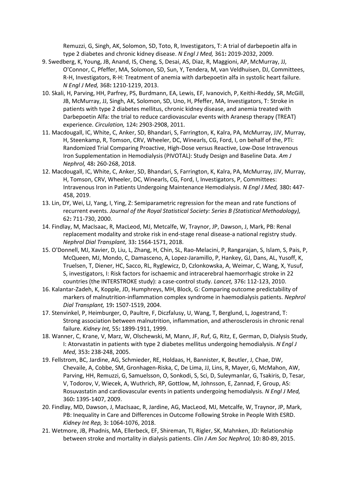Remuzzi, G, Singh, AK, Solomon, SD, Toto, R, Investigators, T: A trial of darbepoetin alfa in type 2 diabetes and chronic kidney disease. *N Engl J Med,* 361**:** 2019-2032, 2009.

- 9. Swedberg, K, Young, JB, Anand, IS, Cheng, S, Desai, AS, Diaz, R, Maggioni, AP, McMurray, JJ, O'Connor, C, Pfeffer, MA, Solomon, SD, Sun, Y, Tendera, M, van Veldhuisen, DJ, Committees, R-H, Investigators, R-H: Treatment of anemia with darbepoetin alfa in systolic heart failure. *N Engl J Med,* 368**:** 1210-1219, 2013.
- 10. Skali, H, Parving, HH, Parfrey, PS, Burdmann, EA, Lewis, EF, Ivanovich, P, Keithi-Reddy, SR, McGill, JB, McMurray, JJ, Singh, AK, Solomon, SD, Uno, H, Pfeffer, MA, Investigators, T: Stroke in patients with type 2 diabetes mellitus, chronic kidney disease, and anemia treated with Darbepoetin Alfa: the trial to reduce cardiovascular events with Aranesp therapy (TREAT) experience. *Circulation,* 124**:** 2903-2908, 2011.
- 11. Macdougall, IC, White, C, Anker, SD, Bhandari, S, Farrington, K, Kalra, PA, McMurray, JJV, Murray, H, Steenkamp, R, Tomson, CRV, Wheeler, DC, Winearls, CG, Ford, I, on behalf of the, PTi: Randomized Trial Comparing Proactive, High-Dose versus Reactive, Low-Dose Intravenous Iron Supplementation in Hemodialysis (PIVOTAL): Study Design and Baseline Data. *Am J Nephrol,* 48**:** 260-268, 2018.
- 12. Macdougall, IC, White, C, Anker, SD, Bhandari, S, Farrington, K, Kalra, PA, McMurray, JJV, Murray, H, Tomson, CRV, Wheeler, DC, Winearls, CG, Ford, I, Investigators, P, Committees: Intravenous Iron in Patients Undergoing Maintenance Hemodialysis. *N Engl J Med,* 380**:** 447- 458, 2019.
- 13. Lin, DY, Wei, LJ, Yang, I, Ying, Z: Semiparametric regression for the mean and rate functions of recurrent events. *Journal of the Royal Statistical Society: Series B (Statistical Methodology),* 62**:** 711-730, 2000.
- 14. Findlay, M, MacIsaac, R, MacLeod, MJ, Metcalfe, W, Traynor, JP, Dawson, J, Mark, PB: Renal replacement modality and stroke risk in end-stage renal disease-a national registry study. *Nephrol Dial Transplant,* 33**:** 1564-1571, 2018.
- 15. O'Donnell, MJ, Xavier, D, Liu, L, Zhang, H, Chin, SL, Rao-Melacini, P, Rangarajan, S, Islam, S, Pais, P, McQueen, MJ, Mondo, C, Damasceno, A, Lopez-Jaramillo, P, Hankey, GJ, Dans, AL, Yusoff, K, Truelsen, T, Diener, HC, Sacco, RL, Ryglewicz, D, Czlonkowska, A, Weimar, C, Wang, X, Yusuf, S, investigators, I: Risk factors for ischaemic and intracerebral haemorrhagic stroke in 22 countries (the INTERSTROKE study): a case-control study. *Lancet,* 376**:** 112-123, 2010.
- 16. Kalantar-Zadeh, K, Kopple, JD, Humphreys, MH, Block, G: Comparing outcome predictability of markers of malnutrition-inflammation complex syndrome in haemodialysis patients. *Nephrol Dial Transplant,* 19**:** 1507-1519, 2004.
- 17. Stenvinkel, P, Heimburger, O, Paultre, F, Diczfalusy, U, Wang, T, Berglund, L, Jogestrand, T: Strong association between malnutrition, inflammation, and atherosclerosis in chronic renal failure. *Kidney Int,* 55**:** 1899-1911, 1999.
- 18. Wanner, C, Krane, V, Marz, W, Olschewski, M, Mann, JF, Ruf, G, Ritz, E, German, D, Dialysis Study, I: Atorvastatin in patients with type 2 diabetes mellitus undergoing hemodialysis. *N Engl J Med,* 353**:** 238-248, 2005.
- 19. Fellstrom, BC, Jardine, AG, Schmieder, RE, Holdaas, H, Bannister, K, Beutler, J, Chae, DW, Chevaile, A, Cobbe, SM, Gronhagen-Riska, C, De Lima, JJ, Lins, R, Mayer, G, McMahon, AW, Parving, HH, Remuzzi, G, Samuelsson, O, Sonkodi, S, Sci, D, Suleymanlar, G, Tsakiris, D, Tesar, V, Todorov, V, Wiecek, A, Wuthrich, RP, Gottlow, M, Johnsson, E, Zannad, F, Group, AS: Rosuvastatin and cardiovascular events in patients undergoing hemodialysis. *N Engl J Med,* 360**:** 1395-1407, 2009.
- 20. Findlay, MD, Dawson, J, MacIsaac, R, Jardine, AG, MacLeod, MJ, Metcalfe, W, Traynor, JP, Mark, PB: Inequality in Care and Differences in Outcome Following Stroke in People With ESRD. *Kidney Int Rep,* 3**:** 1064-1076, 2018.
- 21. Wetmore, JB, Phadnis, MA, Ellerbeck, EF, Shireman, TI, Rigler, SK, Mahnken, JD: Relationship between stroke and mortality in dialysis patients. *Clin J Am Soc Nephrol,* 10**:** 80-89, 2015.